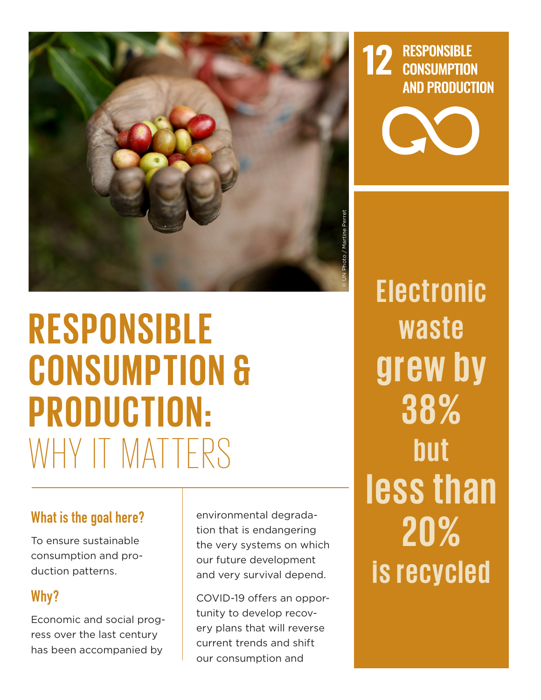

# **R ESPONSIBL E CONSUMPTION & PRODUC T ION:**  WHY IT MATTERS

#### What is the goal here?

To ensure sustainable consumption and production patterns.

## Why?

Economic and social progress over the last century has been accompanied by

environmental degradation that is endangering the very systems on which our future development and very survival depend.

COVID-19 offers an opportunity to develop recovery plans that will reverse current trends and shift our consumption and

**Electronic waste gr ew by 38% b u t less than 20% is recycled**

**12 RESPONSIBLE**<br>CONSUMPTION

**AND PRODUCTION**